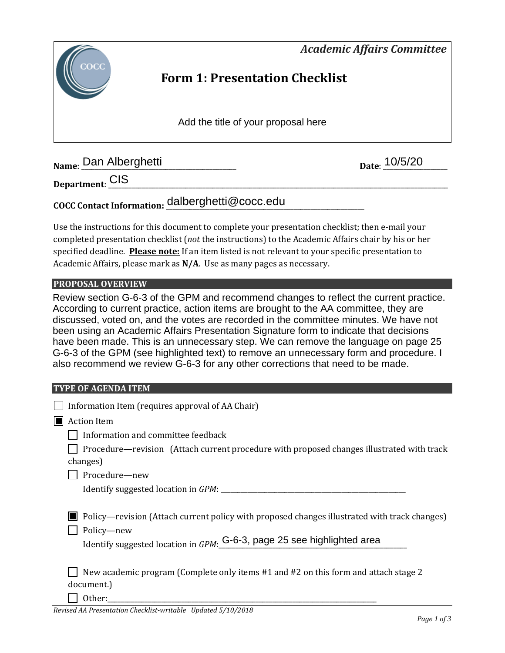*Academic Affairs Committee* 



## **Form 1: Presentation Checklist**

Add the title of your proposal here

**Name**: \_\_\_\_\_\_\_\_\_\_\_\_\_\_\_\_\_\_\_\_\_\_\_\_\_\_\_\_\_\_\_\_\_\_\_\_\_\_\_\_\_\_\_\_\_\_ **Date**: \_\_\_\_\_\_\_\_\_\_\_\_\_\_\_\_\_\_\_ Dan Alberghetti 10/5/20

**Department**: \_\_\_\_\_\_\_\_\_\_\_\_\_\_\_\_\_\_\_\_\_\_\_\_\_\_\_\_\_\_\_\_\_\_\_\_\_\_\_\_\_\_\_\_\_\_\_\_\_\_\_\_\_\_\_\_\_\_\_\_\_\_\_\_\_\_\_\_\_\_\_\_\_\_\_\_\_\_\_\_\_\_\_\_\_\_\_\_\_\_\_\_\_\_\_\_\_\_\_\_\_ CIS

# **COCC Contact Information:** \_\_\_\_\_\_\_\_\_\_\_\_\_\_\_\_\_\_\_\_\_\_\_\_\_\_\_\_\_\_\_\_\_\_\_\_\_\_\_\_\_\_\_\_\_\_\_\_\_\_\_\_\_\_\_\_\_\_\_ dalberghetti@cocc.edu

Use the instructions for this document to complete your presentation checklist; then e-mail your completed presentation checklist (*not* the instructions) to the Academic Affairs chair by his or her specified deadline. **Please note:** If an item listed is not relevant to your specific presentation to Academic Affairs, please mark as **N/A**. Use as many pages as necessary.

#### **PROPOSAL OVERVIEW**

Review section G-6-3 of the GPM and recommend changes to reflect the current practice. According to current practice, action items are brought to the AA committee, they are discussed, voted on, and the votes are recorded in the committee minutes. We have not been using an Academic Affairs Presentation Signature form to indicate that decisions have been made. This is an unnecessary step. We can remove the language on page 25 G-6-3 of the GPM (see highlighted text) to remove an unnecessary form and procedure. I also recommend we review G-6-3 for any other corrections that need to be made.

#### **TYPE OF AGENDA ITEM**

| Information Item (requires approval of AA Chair)                                                                                                                                      |
|---------------------------------------------------------------------------------------------------------------------------------------------------------------------------------------|
| <b>Action Item</b>                                                                                                                                                                    |
| Information and committee feedback                                                                                                                                                    |
| Procedure—revision (Attach current procedure with proposed changes illustrated with track<br>changes)                                                                                 |
| Procedure-new                                                                                                                                                                         |
|                                                                                                                                                                                       |
| Policy—revision (Attach current policy with proposed changes illustrated with track changes)<br>Policy-new<br>Identify suggested location in GPM: G-6-3, page 25 see highlighted area |
| New academic program (Complete only items #1 and #2 on this form and attach stage 2<br>document.)                                                                                     |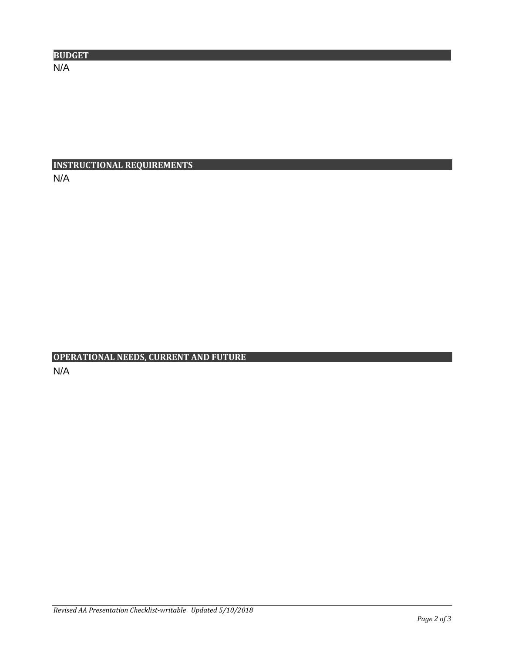| <b>BUDGET</b> |  |  |
|---------------|--|--|
| N/A           |  |  |

## **INSTRUCTIONAL REQUIREMENTS** N/A

## **OPERATIONAL NEEDS, CURRENT AND FUTURE** N/A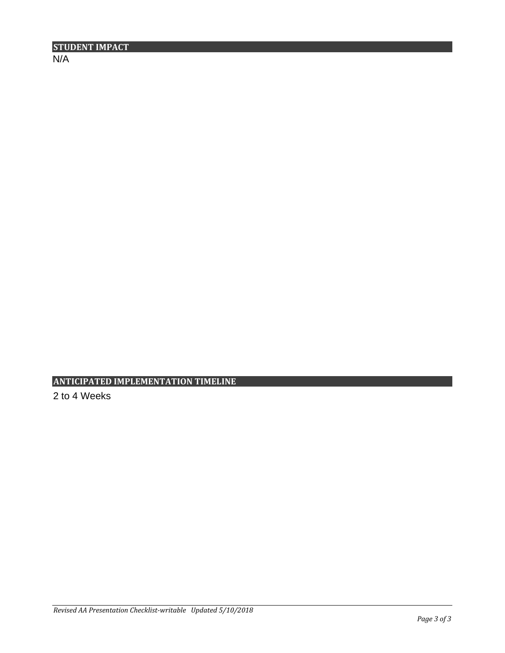$N/A$ 

**ANTICIPATED IMPLEMENTATION TIMELINE**

2 to 4 Weeks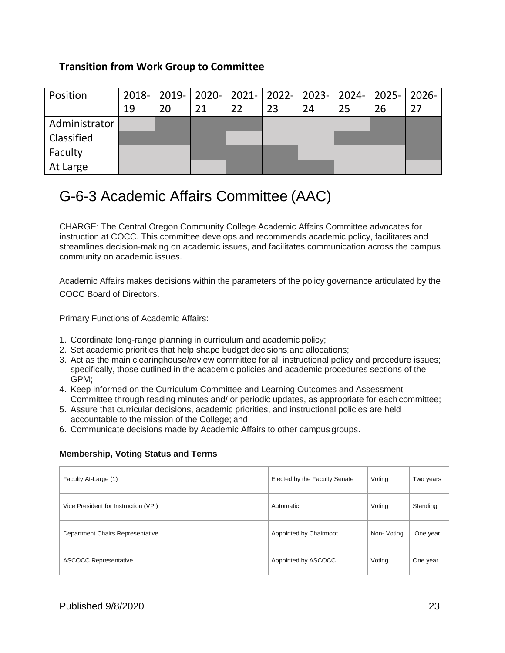## **Transition from Work Group to Committee**

| Position      | 19 | 20 | 21 | 22 | 23 | 24 | 25 | 2018-   2019-   2020-   2021-   2022-   2023-   2024-   2025-  <br>26 | -2026<br>27 |
|---------------|----|----|----|----|----|----|----|-----------------------------------------------------------------------|-------------|
| Administrator |    |    |    |    |    |    |    |                                                                       |             |
| Classified    |    |    |    |    |    |    |    |                                                                       |             |
| Faculty       |    |    |    |    |    |    |    |                                                                       |             |
| At Large      |    |    |    |    |    |    |    |                                                                       |             |

# G-6-3 Academic Affairs Committee (AAC)

CHARGE: The Central Oregon Community College Academic Affairs Committee advocates for instruction at COCC. This committee develops and recommends academic policy, facilitates and streamlines decision-making on academic issues, and facilitates communication across the campus community on academic issues.

Academic Affairs makes decisions within the parameters of the policy governance articulated by the COCC Board of Directors.

Primary Functions of Academic Affairs:

- 1. Coordinate long-range planning in curriculum and academic policy;
- 2. Set academic priorities that help shape budget decisions and allocations;
- 3. Act as the main clearinghouse/review committee for all instructional policy and procedure issues; specifically, those outlined in the academic policies and academic procedures sections of the GPM;
- 4. Keep informed on the Curriculum Committee and Learning Outcomes and Assessment Committee through reading minutes and/ or periodic updates, as appropriate for each committee;
- 5. Assure that curricular decisions, academic priorities, and instructional policies are held accountable to the mission of the College; and
- 6. Communicate decisions made by Academic Affairs to other campus groups.

#### **Membership, Voting Status and Terms**

| Faculty At-Large (1)                 | Elected by the Faculty Senate | Voting      | Two years |
|--------------------------------------|-------------------------------|-------------|-----------|
| Vice President for Instruction (VPI) | Automatic                     | Voting      | Standing  |
| Department Chairs Representative     | Appointed by Chairmoot        | Non- Voting | One year  |
| <b>ASCOCC Representative</b>         | Appointed by ASCOCC           | Voting      | One year  |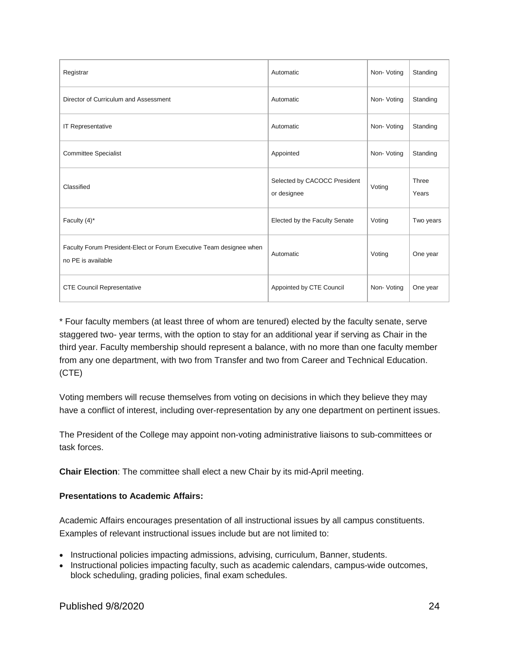| Registrar                                                                                 | Automatic                                   | Non-Voting | Standing       |
|-------------------------------------------------------------------------------------------|---------------------------------------------|------------|----------------|
| Director of Curriculum and Assessment                                                     | Automatic                                   | Non-Voting | Standing       |
| IT Representative                                                                         | Automatic                                   | Non-Voting | Standing       |
| <b>Committee Specialist</b>                                                               | Appointed                                   | Non-Voting | Standing       |
| Classified                                                                                | Selected by CACOCC President<br>or designee | Voting     | Three<br>Years |
| Faculty (4)*                                                                              | Elected by the Faculty Senate               | Voting     | Two years      |
| Faculty Forum President-Elect or Forum Executive Team designee when<br>no PE is available | Automatic                                   | Voting     | One year       |
| <b>CTE Council Representative</b>                                                         | Appointed by CTE Council                    | Non-Voting | One year       |

\* Four faculty members (at least three of whom are tenured) elected by the faculty senate, serve staggered two- year terms, with the option to stay for an additional year if serving as Chair in the third year. Faculty membership should represent a balance, with no more than one faculty member from any one department, with two from Transfer and two from Career and Technical Education. (CTE)

Voting members will recuse themselves from voting on decisions in which they believe they may have a conflict of interest, including over-representation by any one department on pertinent issues.

The President of the College may appoint non-voting administrative liaisons to sub-committees or task forces.

**Chair Election**: The committee shall elect a new Chair by its mid-April meeting.

#### **Presentations to Academic Affairs:**

Academic Affairs encourages presentation of all instructional issues by all campus constituents. Examples of relevant instructional issues include but are not limited to:

- Instructional policies impacting admissions, advising, curriculum, Banner, students.
- Instructional policies impacting faculty, such as academic calendars, campus-wide outcomes, block scheduling, grading policies, final exam schedules.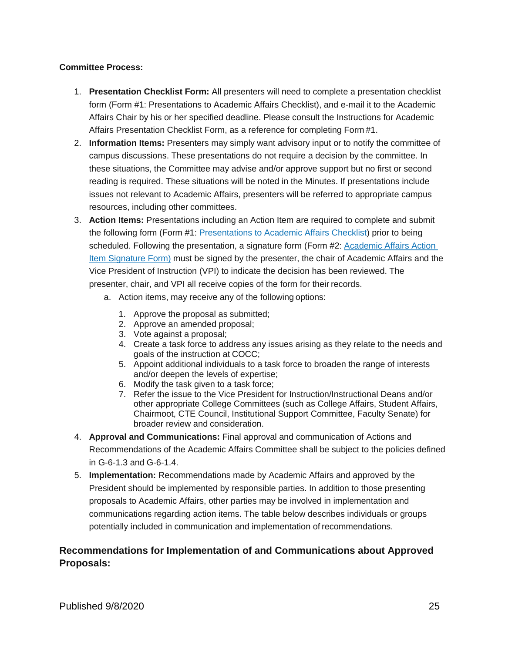#### **Committee Process:**

- 1. **Presentation Checklist Form:** All presenters will need to complete a presentation checklist form (Form #1: Presentations to Academic Affairs Checklist), and e-mail it to the Academic Affairs Chair by his or her specified deadline. Please consult the Instructions for Academic Affairs Presentation Checklist Form, as a reference for completing Form #1.
- 2. **Information Items:** Presenters may simply want advisory input or to notify the committee of campus discussions. These presentations do not require a decision by the committee. In these situations, the Committee may advise and/or approve support but no first or second reading is required. These situations will be noted in the Minutes. If presentations include issues not relevant to Academic Affairs, presenters will be referred to appropriate campus resources, including other committees.
- 3. **Action Items:** Presentations including an Action Item are required to complete and submit the following form (Form #1: [Presentations to Academic Affairs Checklist\)](https://www.cocc.edu/uploadedFiles/Policies_and_Procedures/General_Procedures_Manual/General/Academic-Affairs-Presentation-Checklist.docx) prior to being scheduled. Following the presentation, a signature form (Form #2: [Academic Affairs Action](https://www.cocc.edu/uploadedFiles/Policies_and_Procedures/General_Procedures_Manual/General/Academic-Affairs-Signature-Form.docx) [Item Signature Form\)](https://www.cocc.edu/uploadedFiles/Policies_and_Procedures/General_Procedures_Manual/General/Academic-Affairs-Signature-Form.docx) must be signed by the presenter, the chair of Academic Affairs and the Vice President of Instruction (VPI) to indicate the decision has been reviewed. The presenter, chair, and VPI all receive copies of the form for their records.
	- a. Action items, may receive any of the following options:
		- 1. Approve the proposal as submitted;
		- 2. Approve an amended proposal;
		- 3. Vote against a proposal;
		- 4. Create a task force to address any issues arising as they relate to the needs and goals of the instruction at COCC;
		- 5. Appoint additional individuals to a task force to broaden the range of interests and/or deepen the levels of expertise;
		- 6. Modify the task given to a task force;
		- 7. Refer the issue to the Vice President for Instruction/Instructional Deans and/or other appropriate College Committees (such as College Affairs, Student Affairs, Chairmoot, CTE Council, Institutional Support Committee, Faculty Senate) for broader review and consideration.
- 4. **Approval and Communications:** Final approval and communication of Actions and Recommendations of the Academic Affairs Committee shall be subject to the policies defined in G-6-1.3 and G-6-1.4.
- 5. **Implementation:** Recommendations made by Academic Affairs and approved by the President should be implemented by responsible parties. In addition to those presenting proposals to Academic Affairs, other parties may be involved in implementation and communications regarding action items. The table below describes individuals or groups potentially included in communication and implementation of recommendations.

### **Recommendations for Implementation of and Communications about Approved Proposals:**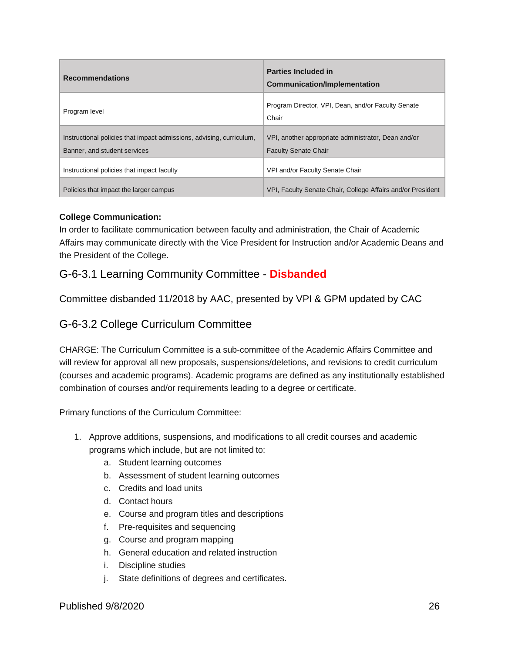| <b>Recommendations</b>                                                                               | <b>Parties Included in</b><br><b>Communication/Implementation</b>                  |
|------------------------------------------------------------------------------------------------------|------------------------------------------------------------------------------------|
| Program level                                                                                        | Program Director, VPI, Dean, and/or Faculty Senate<br>Chair                        |
| Instructional policies that impact admissions, advising, curriculum,<br>Banner, and student services | VPI, another appropriate administrator, Dean and/or<br><b>Faculty Senate Chair</b> |
| Instructional policies that impact faculty                                                           | VPI and/or Faculty Senate Chair                                                    |
| Policies that impact the larger campus                                                               | VPI, Faculty Senate Chair, College Affairs and/or President                        |

#### **College Communication:**

In order to facilitate communication between faculty and administration, the Chair of Academic Affairs may communicate directly with the Vice President for Instruction and/or Academic Deans and the President of the College.

## G-6-3.1 Learning Community Committee - **Disbanded**

Committee disbanded 11/2018 by AAC, presented by VPI & GPM updated by CAC

## G-6-3.2 College Curriculum Committee

CHARGE: The Curriculum Committee is a sub-committee of the Academic Affairs Committee and will review for approval all new proposals, suspensions/deletions, and revisions to credit curriculum (courses and academic programs). Academic programs are defined as any institutionally established combination of courses and/or requirements leading to a degree or certificate.

Primary functions of the Curriculum Committee:

- 1. Approve additions, suspensions, and modifications to all credit courses and academic programs which include, but are not limited to:
	- a. Student learning outcomes
	- b. Assessment of student learning outcomes
	- c. Credits and load units
	- d. Contact hours
	- e. Course and program titles and descriptions
	- f. Pre-requisites and sequencing
	- g. Course and program mapping
	- h. General education and related instruction
	- i. Discipline studies
	- j. State definitions of degrees and certificates.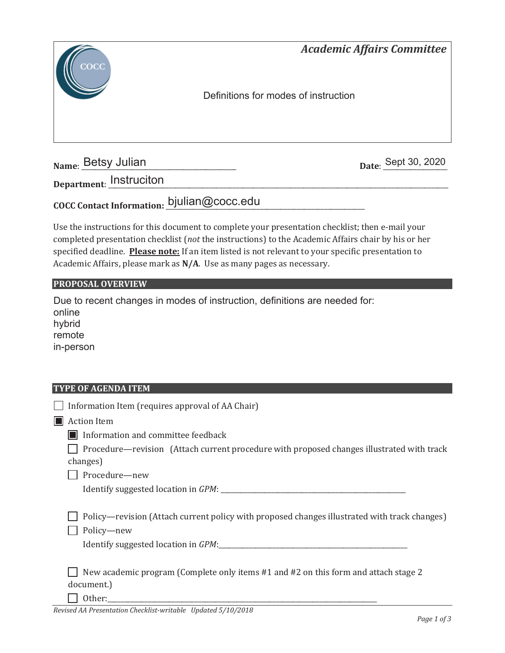

**Name: Betsy Julian** 

Date: Sept 30, 2020

**Department**: \_\_\_\_\_\_\_\_\_\_\_\_\_\_\_\_\_\_\_\_\_\_\_\_\_\_\_\_\_\_\_\_\_\_\_\_\_\_\_\_\_\_\_\_\_\_\_\_\_\_\_\_\_\_\_\_\_\_\_\_\_\_\_\_\_\_\_\_\_\_\_\_\_\_\_\_\_\_\_\_\_\_\_\_\_\_\_\_\_\_\_\_\_\_\_\_\_\_\_\_\_ Instruciton

## COCC Contact Information: bjulian@cocc.edu

Use the instructions for this document to complete your presentation checklist; then e-mail your completed presentation checklist (*not* the instructions) to the Academic Affairs chair by his or her specified deadline. **Please note:** If an item listed is not relevant to your specific presentation to Academic Affairs, please mark as **N/A**. Use as many pages as necessary.

#### **PROPOSAL OVERVIEW**

Due to recent changes in modes of instruction, definitions are needed for: online hybrid remote in-person

#### **TYPE OF AGENDA ITEM**

| Information Item (requires approval of AA Chair)                                                            |
|-------------------------------------------------------------------------------------------------------------|
| <b>Action Item</b>                                                                                          |
| Information and committee feedback                                                                          |
| Procedure—revision (Attach current procedure with proposed changes illustrated with track<br>changes)       |
| Procedure-new                                                                                               |
|                                                                                                             |
| Policy—revision (Attach current policy with proposed changes illustrated with track changes)<br>Policy-new  |
| New academic program (Complete only items #1 and #2 on this form and attach stage 2<br>document.)<br>Other: |